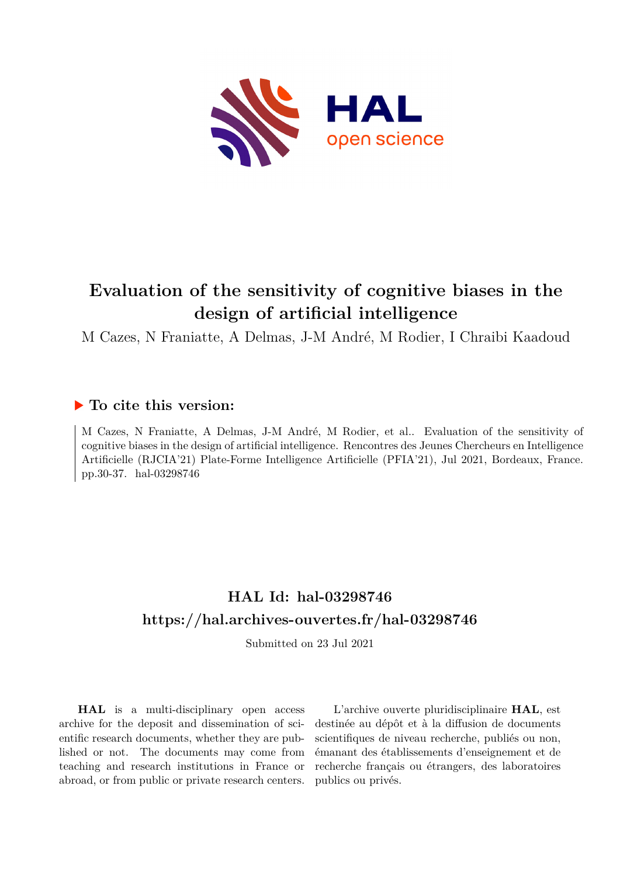

# **Evaluation of the sensitivity of cognitive biases in the design of artificial intelligence**

M Cazes, N Franiatte, A Delmas, J-M André, M Rodier, I Chraibi Kaadoud

# **To cite this version:**

M Cazes, N Franiatte, A Delmas, J-M André, M Rodier, et al.. Evaluation of the sensitivity of cognitive biases in the design of artificial intelligence. Rencontres des Jeunes Chercheurs en Intelligence Artificielle (RJCIA'21) Plate-Forme Intelligence Artificielle (PFIA'21), Jul 2021, Bordeaux, France. pp.30-37. hal-03298746

# **HAL Id: hal-03298746 <https://hal.archives-ouvertes.fr/hal-03298746>**

Submitted on 23 Jul 2021

**HAL** is a multi-disciplinary open access archive for the deposit and dissemination of scientific research documents, whether they are published or not. The documents may come from teaching and research institutions in France or abroad, or from public or private research centers.

L'archive ouverte pluridisciplinaire **HAL**, est destinée au dépôt et à la diffusion de documents scientifiques de niveau recherche, publiés ou non, émanant des établissements d'enseignement et de recherche français ou étrangers, des laboratoires publics ou privés.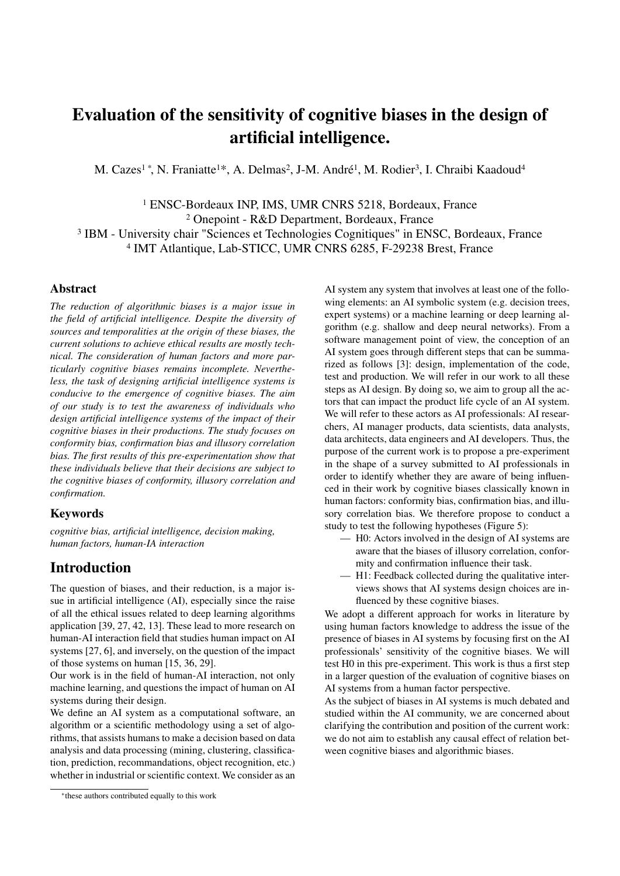# Evaluation of the sensitivity of cognitive biases in the design of artificial intelligence.

M. Cazes<sup>1</sup>\*, N. Franiatte<sup>1\*</sup>, A. Delmas<sup>2</sup>, J-M. André<sup>1</sup>, M. Rodier<sup>3</sup>, I. Chraibi Kaadoud<sup>4</sup>

 ENSC-Bordeaux INP, IMS, UMR CNRS 5218, Bordeaux, France Onepoint - R&D Department, Bordeaux, France <sup>3</sup> IBM - University chair "Sciences et Technologies Cognitiques" in ENSC, Bordeaux, France IMT Atlantique, Lab-STICC, UMR CNRS 6285, F-29238 Brest, France

## Abstract

*The reduction of algorithmic biases is a major issue in the field of artificial intelligence. Despite the diversity of sources and temporalities at the origin of these biases, the current solutions to achieve ethical results are mostly technical. The consideration of human factors and more particularly cognitive biases remains incomplete. Nevertheless, the task of designing artificial intelligence systems is conducive to the emergence of cognitive biases. The aim of our study is to test the awareness of individuals who design artificial intelligence systems of the impact of their cognitive biases in their productions. The study focuses on conformity bias, confirmation bias and illusory correlation bias. The first results of this pre-experimentation show that these individuals believe that their decisions are subject to the cognitive biases of conformity, illusory correlation and confirmation.*

## Keywords

*cognitive bias, artificial intelligence, decision making, human factors, human-IA interaction*

# Introduction

The question of biases, and their reduction, is a major issue in artificial intelligence (AI), especially since the raise of all the ethical issues related to deep learning algorithms application [39, 27, 42, 13]. These lead to more research on human-AI interaction field that studies human impact on AI systems [27, 6], and inversely, on the question of the impact of those systems on human [15, 36, 29].

Our work is in the field of human-AI interaction, not only machine learning, and questions the impact of human on AI systems during their design.

We define an AI system as a computational software, an algorithm or a scientific methodology using a set of algorithms, that assists humans to make a decision based on data analysis and data processing (mining, clustering, classification, prediction, recommandations, object recognition, etc.) whether in industrial or scientific context. We consider as an

AI system any system that involves at least one of the following elements: an AI symbolic system (e.g. decision trees, expert systems) or a machine learning or deep learning algorithm (e.g. shallow and deep neural networks). From a software management point of view, the conception of an AI system goes through different steps that can be summarized as follows [3]: design, implementation of the code, test and production. We will refer in our work to all these steps as AI design. By doing so, we aim to group all the actors that can impact the product life cycle of an AI system. We will refer to these actors as AI professionals: AI researchers, AI manager products, data scientists, data analysts, data architects, data engineers and AI developers. Thus, the purpose of the current work is to propose a pre-experiment in the shape of a survey submitted to AI professionals in order to identify whether they are aware of being influenced in their work by cognitive biases classically known in human factors: conformity bias, confirmation bias, and illusory correlation bias. We therefore propose to conduct a study to test the following hypotheses (Figure 5):

- H0: Actors involved in the design of AI systems are aware that the biases of illusory correlation, conformity and confirmation influence their task.
- H1: Feedback collected during the qualitative interviews shows that AI systems design choices are influenced by these cognitive biases.

We adopt a different approach for works in literature by using human factors knowledge to address the issue of the presence of biases in AI systems by focusing first on the AI professionals' sensitivity of the cognitive biases. We will test H0 in this pre-experiment. This work is thus a first step in a larger question of the evaluation of cognitive biases on AI systems from a human factor perspective.

As the subject of biases in AI systems is much debated and studied within the AI community, we are concerned about clarifying the contribution and position of the current work: we do not aim to establish any causal effect of relation between cognitive biases and algorithmic biases.

<sup>\*</sup>these authors contributed equally to this work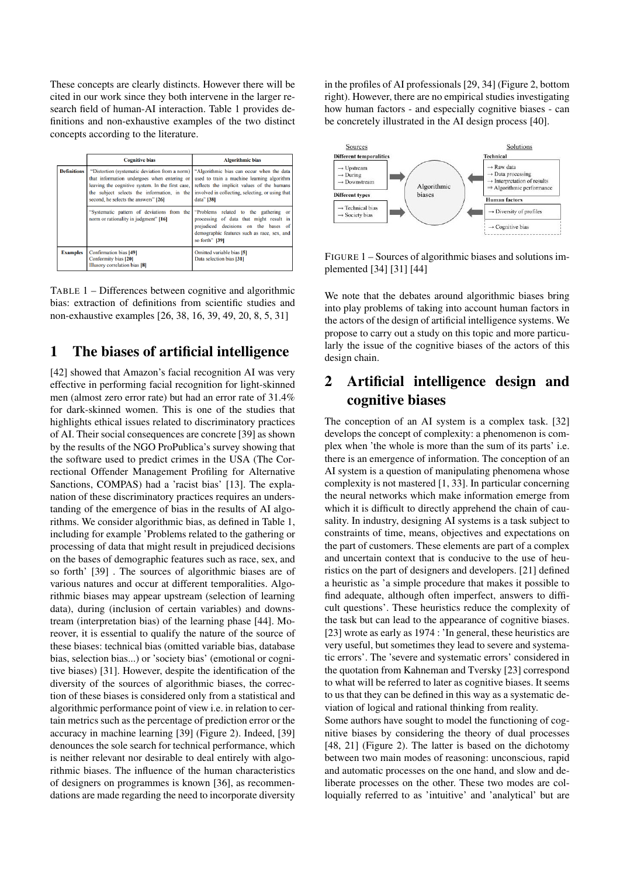These concepts are clearly distincts. However there will be cited in our work since they both intervene in the larger research field of human-AI interaction. Table 1 provides definitions and non-exhaustive examples of the two distinct concepts according to the literature.

|                    | <b>Cognitive bias</b>                                                                                                                                                                                                                    | <b>Algorithmic bias</b>                                                                                                                                                                                 |
|--------------------|------------------------------------------------------------------------------------------------------------------------------------------------------------------------------------------------------------------------------------------|---------------------------------------------------------------------------------------------------------------------------------------------------------------------------------------------------------|
| <b>Definitions</b> | "Distortion (systematic deviation from a norm)<br>that information undergoes when entering or<br>leaving the cognitive system. In the first case,<br>the subject selects the information, in the<br>second, he selects the answers" [26] | "Algorithmic bias can occur when the data<br>used to train a machine learning algorithm<br>reflects the implicit values of the humans<br>involved in collecting, selecting, or using that<br>data" [38] |
|                    | "Systematic pattern of deviations from the<br>norm or rationality in judgment" [16]                                                                                                                                                      | "Problems related to the gathering or<br>processing of data that might result in<br>prejudiced decisions on the bases of<br>demographic features such as race, sex, and<br>so forth" [39]               |
| <b>Examples</b>    | <b>Confirmation bias [49]</b><br>Conformity bias [20]<br>Illusory correlation bias [8]                                                                                                                                                   | Omitted variable bias [5]<br>Data selection bias [31]                                                                                                                                                   |

TABLE 1 – Differences between cognitive and algorithmic bias: extraction of definitions from scientific studies and non-exhaustive examples [26, 38, 16, 39, 49, 20, 8, 5, 31]

# 1 The biases of artificial intelligence

[42] showed that Amazon's facial recognition AI was very effective in performing facial recognition for light-skinned men (almost zero error rate) but had an error rate of 31.4% for dark-skinned women. This is one of the studies that highlights ethical issues related to discriminatory practices of AI. Their social consequences are concrete [39] as shown by the results of the NGO ProPublica's survey showing that the software used to predict crimes in the USA (The Correctional Offender Management Profiling for Alternative Sanctions, COMPAS) had a 'racist bias' [13]. The explanation of these discriminatory practices requires an understanding of the emergence of bias in the results of AI algorithms. We consider algorithmic bias, as defined in Table 1, including for example 'Problems related to the gathering or processing of data that might result in prejudiced decisions on the bases of demographic features such as race, sex, and so forth' [39] . The sources of algorithmic biases are of various natures and occur at different temporalities. Algorithmic biases may appear upstream (selection of learning data), during (inclusion of certain variables) and downstream (interpretation bias) of the learning phase [44]. Moreover, it is essential to qualify the nature of the source of these biases: technical bias (omitted variable bias, database bias, selection bias...) or 'society bias' (emotional or cognitive biases) [31]. However, despite the identification of the diversity of the sources of algorithmic biases, the correction of these biases is considered only from a statistical and algorithmic performance point of view i.e. in relation to certain metrics such as the percentage of prediction error or the accuracy in machine learning [39] (Figure 2). Indeed, [39] denounces the sole search for technical performance, which is neither relevant nor desirable to deal entirely with algorithmic biases. The influence of the human characteristics of designers on programmes is known [36], as recommendations are made regarding the need to incorporate diversity

in the profiles of AI professionals [29, 34] (Figure 2, bottom right). However, there are no empirical studies investigating how human factors - and especially cognitive biases - can be concretely illustrated in the AI design process [40].



FIGURE 1 – Sources of algorithmic biases and solutions implemented [34] [31] [44]

We note that the debates around algorithmic biases bring into play problems of taking into account human factors in the actors of the design of artificial intelligence systems. We propose to carry out a study on this topic and more particularly the issue of the cognitive biases of the actors of this design chain.

# 2 Artificial intelligence design and cognitive biases

The conception of an AI system is a complex task. [32] develops the concept of complexity: a phenomenon is complex when 'the whole is more than the sum of its parts' i.e. there is an emergence of information. The conception of an AI system is a question of manipulating phenomena whose complexity is not mastered [1, 33]. In particular concerning the neural networks which make information emerge from which it is difficult to directly apprehend the chain of causality. In industry, designing AI systems is a task subject to constraints of time, means, objectives and expectations on the part of customers. These elements are part of a complex and uncertain context that is conducive to the use of heuristics on the part of designers and developers. [21] defined a heuristic as 'a simple procedure that makes it possible to find adequate, although often imperfect, answers to difficult questions'. These heuristics reduce the complexity of the task but can lead to the appearance of cognitive biases. [23] wrote as early as 1974 : 'In general, these heuristics are very useful, but sometimes they lead to severe and systematic errors'. The 'severe and systematic errors' considered in the quotation from Kahneman and Tversky [23] correspond to what will be referred to later as cognitive biases. It seems to us that they can be defined in this way as a systematic deviation of logical and rational thinking from reality.

Some authors have sought to model the functioning of cognitive biases by considering the theory of dual processes [48, 21] (Figure 2). The latter is based on the dichotomy between two main modes of reasoning: unconscious, rapid and automatic processes on the one hand, and slow and deliberate processes on the other. These two modes are colloquially referred to as 'intuitive' and 'analytical' but are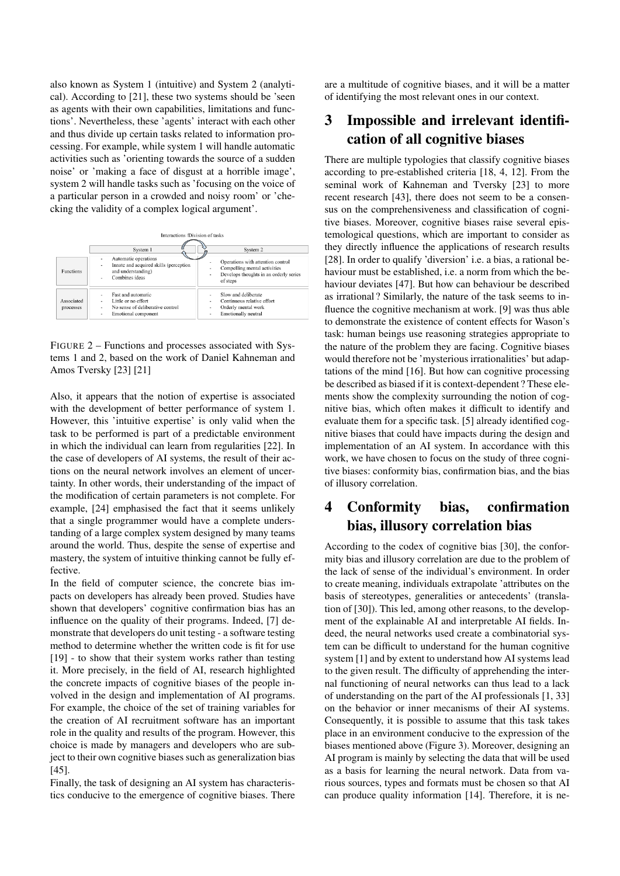also known as System 1 (intuitive) and System 2 (analytical). According to [21], these two systems should be 'seen as agents with their own capabilities, limitations and functions'. Nevertheless, these 'agents' interact with each other and thus divide up certain tasks related to information processing. For example, while system 1 will handle automatic activities such as 'orienting towards the source of a sudden noise' or 'making a face of disgust at a horrible image', system 2 will handle tasks such as 'focusing on the voice of a particular person in a crowded and noisy room' or 'checking the validity of a complex logical argument'.

| <b>Functions</b>        | Interactions /Division of tasks<br>System 1<br>Automatic operations<br>٠<br>Innate and acquired skills (perception<br>٠<br>and understanding)<br>Combines ideas<br>٠ | System 2<br>Operations with attention control<br>Compelling mental activities<br>Develops thoughts in an orderly series<br>۰<br>of steps |
|-------------------------|----------------------------------------------------------------------------------------------------------------------------------------------------------------------|------------------------------------------------------------------------------------------------------------------------------------------|
| Associated<br>processes | Fast and automatic<br>Little or no effort<br>$\blacksquare$<br>No sense of deliberative control<br>$\blacksquare$<br>Emotional component<br>$\blacksquare$           | Slow and deliberate<br>Continuous relative effort<br>Orderly mental work<br>$\sim$<br>Emotionally neutral<br>۰                           |

FIGURE 2 – Functions and processes associated with Systems 1 and 2, based on the work of Daniel Kahneman and Amos Tversky [23] [21]

Also, it appears that the notion of expertise is associated with the development of better performance of system 1. However, this 'intuitive expertise' is only valid when the task to be performed is part of a predictable environment in which the individual can learn from regularities [22]. In the case of developers of AI systems, the result of their actions on the neural network involves an element of uncertainty. In other words, their understanding of the impact of the modification of certain parameters is not complete. For example, [24] emphasised the fact that it seems unlikely that a single programmer would have a complete understanding of a large complex system designed by many teams around the world. Thus, despite the sense of expertise and mastery, the system of intuitive thinking cannot be fully effective.

In the field of computer science, the concrete bias impacts on developers has already been proved. Studies have shown that developers' cognitive confirmation bias has an influence on the quality of their programs. Indeed, [7] demonstrate that developers do unit testing - a software testing method to determine whether the written code is fit for use [19] - to show that their system works rather than testing it. More precisely, in the field of AI, research highlighted the concrete impacts of cognitive biases of the people involved in the design and implementation of AI programs. For example, the choice of the set of training variables for the creation of AI recruitment software has an important role in the quality and results of the program. However, this choice is made by managers and developers who are subject to their own cognitive biases such as generalization bias [45].

Finally, the task of designing an AI system has characteristics conducive to the emergence of cognitive biases. There are a multitude of cognitive biases, and it will be a matter of identifying the most relevant ones in our context.

# 3 Impossible and irrelevant identification of all cognitive biases

There are multiple typologies that classify cognitive biases according to pre-established criteria [18, 4, 12]. From the seminal work of Kahneman and Tversky [23] to more recent research [43], there does not seem to be a consensus on the comprehensiveness and classification of cognitive biases. Moreover, cognitive biases raise several epistemological questions, which are important to consider as they directly influence the applications of research results [28]. In order to qualify 'diversion' i.e. a bias, a rational behaviour must be established, i.e. a norm from which the behaviour deviates [47]. But how can behaviour be described as irrational ? Similarly, the nature of the task seems to influence the cognitive mechanism at work. [9] was thus able to demonstrate the existence of content effects for Wason's task: human beings use reasoning strategies appropriate to the nature of the problem they are facing. Cognitive biases would therefore not be 'mysterious irrationalities' but adaptations of the mind [16]. But how can cognitive processing be described as biased if it is context-dependent ? These elements show the complexity surrounding the notion of cognitive bias, which often makes it difficult to identify and evaluate them for a specific task. [5] already identified cognitive biases that could have impacts during the design and implementation of an AI system. In accordance with this work, we have chosen to focus on the study of three cognitive biases: conformity bias, confirmation bias, and the bias of illusory correlation.

# 4 Conformity bias, confirmation bias, illusory correlation bias

According to the codex of cognitive bias [30], the conformity bias and illusory correlation are due to the problem of the lack of sense of the individual's environment. In order to create meaning, individuals extrapolate 'attributes on the basis of stereotypes, generalities or antecedents' (translation of [30]). This led, among other reasons, to the development of the explainable AI and interpretable AI fields. Indeed, the neural networks used create a combinatorial system can be difficult to understand for the human cognitive system [1] and by extent to understand how AI systems lead to the given result. The difficulty of apprehending the internal functioning of neural networks can thus lead to a lack of understanding on the part of the AI professionals [1, 33] on the behavior or inner mecanisms of their AI systems. Consequently, it is possible to assume that this task takes place in an environment conducive to the expression of the biases mentioned above (Figure 3). Moreover, designing an AI program is mainly by selecting the data that will be used as a basis for learning the neural network. Data from various sources, types and formats must be chosen so that AI can produce quality information [14]. Therefore, it is ne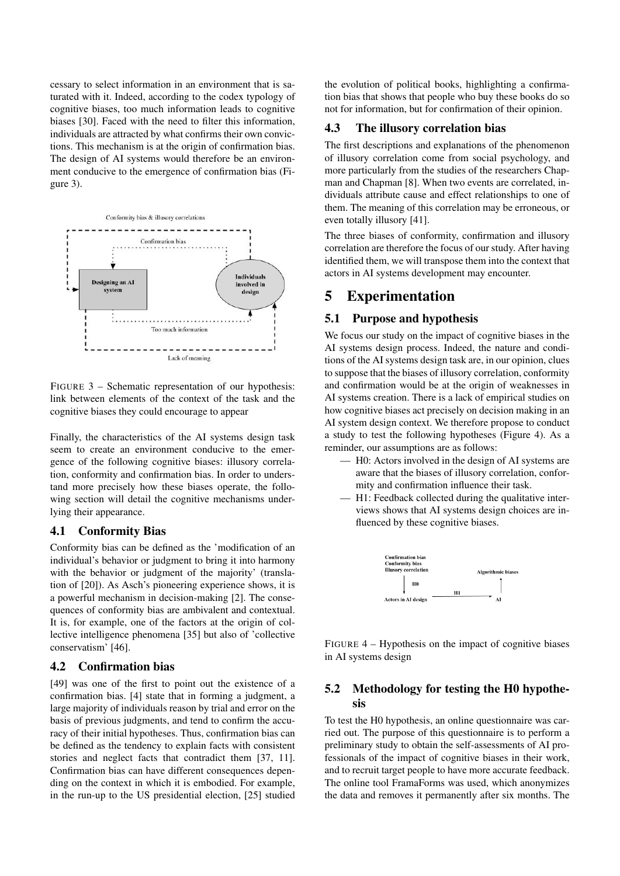cessary to select information in an environment that is saturated with it. Indeed, according to the codex typology of cognitive biases, too much information leads to cognitive biases [30]. Faced with the need to filter this information, individuals are attracted by what confirms their own convictions. This mechanism is at the origin of confirmation bias. The design of AI systems would therefore be an environment conducive to the emergence of confirmation bias (Figure 3).



FIGURE 3 – Schematic representation of our hypothesis: link between elements of the context of the task and the cognitive biases they could encourage to appear

Finally, the characteristics of the AI systems design task seem to create an environment conducive to the emergence of the following cognitive biases: illusory correlation, conformity and confirmation bias. In order to understand more precisely how these biases operate, the following section will detail the cognitive mechanisms underlying their appearance.

## 4.1 Conformity Bias

Conformity bias can be defined as the 'modification of an individual's behavior or judgment to bring it into harmony with the behavior or judgment of the majority' (translation of [20]). As Asch's pioneering experience shows, it is a powerful mechanism in decision-making [2]. The consequences of conformity bias are ambivalent and contextual. It is, for example, one of the factors at the origin of collective intelligence phenomena [35] but also of 'collective conservatism' [46].

## 4.2 Confirmation bias

[49] was one of the first to point out the existence of a confirmation bias. [4] state that in forming a judgment, a large majority of individuals reason by trial and error on the basis of previous judgments, and tend to confirm the accuracy of their initial hypotheses. Thus, confirmation bias can be defined as the tendency to explain facts with consistent stories and neglect facts that contradict them [37, 11]. Confirmation bias can have different consequences depending on the context in which it is embodied. For example, in the run-up to the US presidential election, [25] studied

the evolution of political books, highlighting a confirmation bias that shows that people who buy these books do so not for information, but for confirmation of their opinion.

#### 4.3 The illusory correlation bias

The first descriptions and explanations of the phenomenon of illusory correlation come from social psychology, and more particularly from the studies of the researchers Chapman and Chapman [8]. When two events are correlated, individuals attribute cause and effect relationships to one of them. The meaning of this correlation may be erroneous, or even totally illusory [41].

The three biases of conformity, confirmation and illusory correlation are therefore the focus of our study. After having identified them, we will transpose them into the context that actors in AI systems development may encounter.

# 5 Experimentation

#### 5.1 Purpose and hypothesis

We focus our study on the impact of cognitive biases in the AI systems design process. Indeed, the nature and conditions of the AI systems design task are, in our opinion, clues to suppose that the biases of illusory correlation, conformity and confirmation would be at the origin of weaknesses in AI systems creation. There is a lack of empirical studies on how cognitive biases act precisely on decision making in an AI system design context. We therefore propose to conduct a study to test the following hypotheses (Figure 4). As a reminder, our assumptions are as follows:

- H0: Actors involved in the design of AI systems are aware that the biases of illusory correlation, conformity and confirmation influence their task.
- H1: Feedback collected during the qualitative interviews shows that AI systems design choices are influenced by these cognitive biases.



FIGURE 4 – Hypothesis on the impact of cognitive biases in AI systems design

## 5.2 Methodology for testing the H0 hypothesis

To test the H0 hypothesis, an online questionnaire was carried out. The purpose of this questionnaire is to perform a preliminary study to obtain the self-assessments of AI professionals of the impact of cognitive biases in their work, and to recruit target people to have more accurate feedback. The online tool FramaForms was used, which anonymizes the data and removes it permanently after six months. The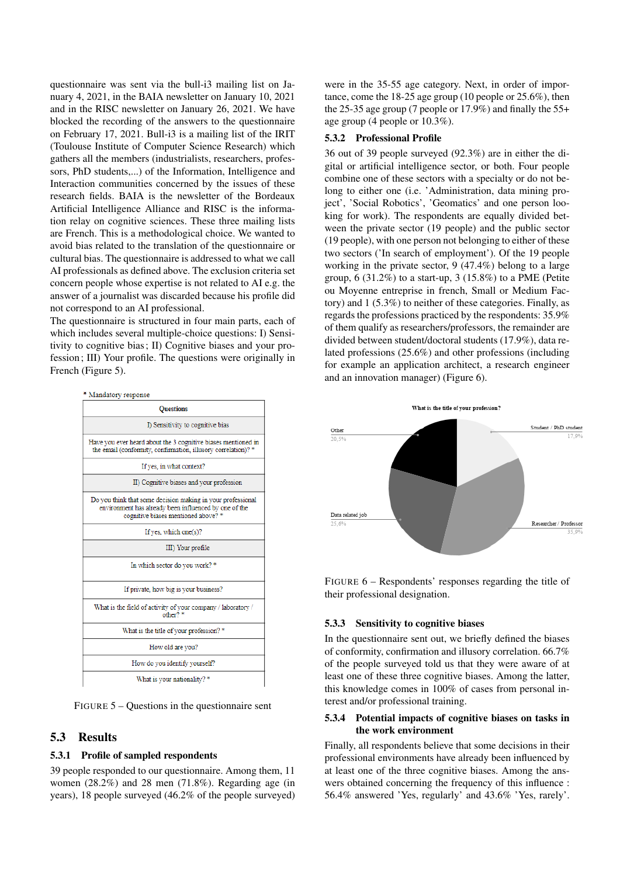questionnaire was sent via the bull-i3 mailing list on January 4, 2021, in the BAIA newsletter on January 10, 2021 and in the RISC newsletter on January 26, 2021. We have blocked the recording of the answers to the questionnaire on February 17, 2021. Bull-i3 is a mailing list of the IRIT (Toulouse Institute of Computer Science Research) which gathers all the members (industrialists, researchers, professors, PhD students,...) of the Information, Intelligence and Interaction communities concerned by the issues of these research fields. BAIA is the newsletter of the Bordeaux Artificial Intelligence Alliance and RISC is the information relay on cognitive sciences. These three mailing lists are French. This is a methodological choice. We wanted to avoid bias related to the translation of the questionnaire or cultural bias. The questionnaire is addressed to what we call AI professionals as defined above. The exclusion criteria set concern people whose expertise is not related to AI e.g. the answer of a journalist was discarded because his profile did not correspond to an AI professional.

The questionnaire is structured in four main parts, each of which includes several multiple-choice questions: I) Sensitivity to cognitive bias; II) Cognitive biases and your profession; III) Your profile. The questions were originally in French (Figure 5).



FIGURE 5 – Questions in the questionnaire sent

## 5.3 Results

## 5.3.1 Profile of sampled respondents

39 people responded to our questionnaire. Among them, 11 women (28.2%) and 28 men (71.8%). Regarding age (in years), 18 people surveyed (46.2% of the people surveyed) were in the 35-55 age category. Next, in order of importance, come the 18-25 age group (10 people or 25.6%), then the 25-35 age group (7 people or 17.9%) and finally the 55+ age group (4 people or 10.3%).

#### 5.3.2 Professional Profile

36 out of 39 people surveyed (92.3%) are in either the digital or artificial intelligence sector, or both. Four people combine one of these sectors with a specialty or do not belong to either one (i.e. 'Administration, data mining project', 'Social Robotics', 'Geomatics' and one person looking for work). The respondents are equally divided between the private sector (19 people) and the public sector (19 people), with one person not belonging to either of these two sectors ('In search of employment'). Of the 19 people working in the private sector, 9 (47.4%) belong to a large group, 6 (31.2%) to a start-up, 3 (15.8%) to a PME (Petite ou Moyenne entreprise in french, Small or Medium Factory) and 1 (5.3%) to neither of these categories. Finally, as regards the professions practiced by the respondents: 35.9% of them qualify as researchers/professors, the remainder are divided between student/doctoral students (17.9%), data related professions (25.6%) and other professions (including for example an application architect, a research engineer and an innovation manager) (Figure 6).



FIGURE 6 – Respondents' responses regarding the title of their professional designation.

## 5.3.3 Sensitivity to cognitive biases

In the questionnaire sent out, we briefly defined the biases of conformity, confirmation and illusory correlation. 66.7% of the people surveyed told us that they were aware of at least one of these three cognitive biases. Among the latter, this knowledge comes in 100% of cases from personal interest and/or professional training.

## 5.3.4 Potential impacts of cognitive biases on tasks in the work environment

Finally, all respondents believe that some decisions in their professional environments have already been influenced by at least one of the three cognitive biases. Among the answers obtained concerning the frequency of this influence : 56.4% answered 'Yes, regularly' and 43.6% 'Yes, rarely'.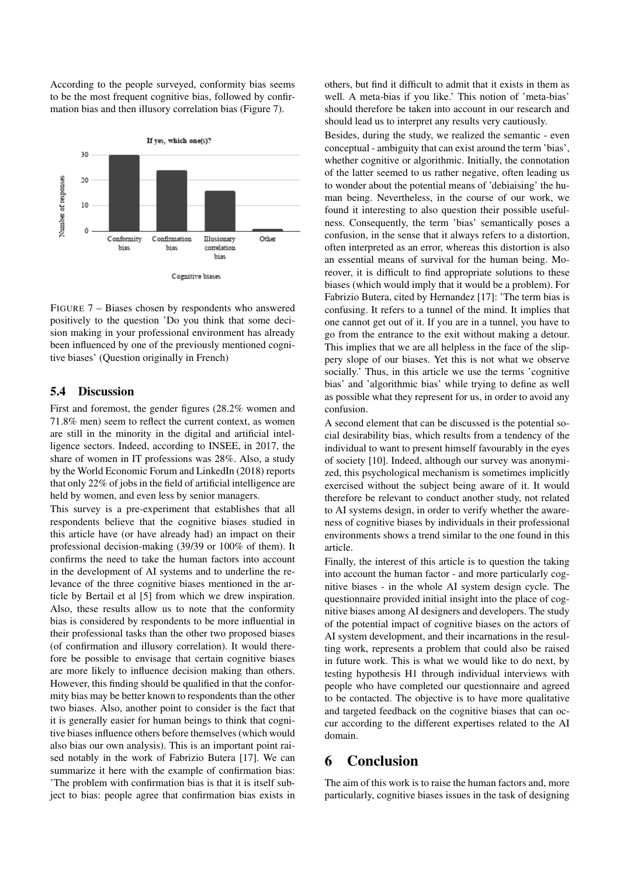According to the people surveyed, conformity bias seems to be the most frequent cognitive bias, followed by confirmation bias and then illusory correlation bias (Figure 7).



FIGURE 7 – Biases chosen by respondents who answered positively to the question 'Do you think that some decision making in your professional environment has already been influenced by one of the previously mentioned cognitive biases' (Question originally in French)

## 5.4 Discussion

First and foremost, the gender figures (28.2% women and 71.8% men) seem to reflect the current context, as women are still in the minority in the digital and artificial intelligence sectors. Indeed, according to INSEE, in 2017, the share of women in IT professions was 28%. Also, a study by the World Economic Forum and LinkedIn (2018) reports that only 22% of jobs in the field of artificial intelligence are held by women, and even less by senior managers.

This survey is a pre-experiment that establishes that all respondents believe that the cognitive biases studied in this article have (or have already had) an impact on their professional decision-making (39/39 or 100% of them). It confirms the need to take the human factors into account in the development of AI systems and to underline the relevance of the three cognitive biases mentioned in the article by Bertail et al [5] from which we drew inspiration. Also, these results allow us to note that the conformity bias is considered by respondents to be more influential in their professional tasks than the other two proposed biases (of confirmation and illusory correlation). It would therefore be possible to envisage that certain cognitive biases are more likely to influence decision making than others. However, this finding should be qualified in that the conformity bias may be better known to respondents than the other two biases. Also, another point to consider is the fact that it is generally easier for human beings to think that cognitive biases influence others before themselves (which would also bias our own analysis). This is an important point raised notably in the work of Fabrizio Butera [17]. We can summarize it here with the example of confirmation bias: 'The problem with confirmation bias is that it is itself subject to bias: people agree that confirmation bias exists in others, but find it difficult to admit that it exists in them as well. A meta-bias if you like.' This notion of 'meta-bias' should therefore be taken into account in our research and should lead us to interpret any results very cautiously.

Besides, during the study, we realized the semantic - even conceptual - ambiguity that can exist around the term 'bias', whether cognitive or algorithmic. Initially, the connotation of the latter seemed to us rather negative, often leading us to wonder about the potential means of 'debiaising' the human being. Nevertheless, in the course of our work, we found it interesting to also question their possible usefulness. Consequently, the term 'bias' semantically poses a confusion, in the sense that it always refers to a distortion, often interpreted as an error, whereas this distortion is also an essential means of survival for the human being. Moreover, it is difficult to find appropriate solutions to these biases (which would imply that it would be a problem). For Fabrizio Butera, cited by Hernandez [17]: 'The term bias is confusing. It refers to a tunnel of the mind. It implies that one cannot get out of it. If you are in a tunnel, you have to go from the entrance to the exit without making a detour. This implies that we are all helpless in the face of the slippery slope of our biases. Yet this is not what we observe socially.' Thus, in this article we use the terms 'cognitive bias' and 'algorithmic bias' while trying to define as well as possible what they represent for us, in order to avoid any confusion.

A second element that can be discussed is the potential social desirability bias, which results from a tendency of the individual to want to present himself favourably in the eyes of society [10]. Indeed, although our survey was anonymized, this psychological mechanism is sometimes implicitly exercised without the subject being aware of it. It would therefore be relevant to conduct another study, not related to AI systems design, in order to verify whether the awareness of cognitive biases by individuals in their professional environments shows a trend similar to the one found in this article.

Finally, the interest of this article is to question the taking into account the human factor - and more particularly cognitive biases - in the whole AI system design cycle. The questionnaire provided initial insight into the place of cognitive biases among AI designers and developers. The study of the potential impact of cognitive biases on the actors of AI system development, and their incarnations in the resulting work, represents a problem that could also be raised in future work. This is what we would like to do next, by testing hypothesis H1 through individual interviews with people who have completed our questionnaire and agreed to be contacted. The objective is to have more qualitative and targeted feedback on the cognitive biases that can occur according to the different expertises related to the AI domain.

# 6 Conclusion

The aim of this work is to raise the human factors and, more particularly, cognitive biases issues in the task of designing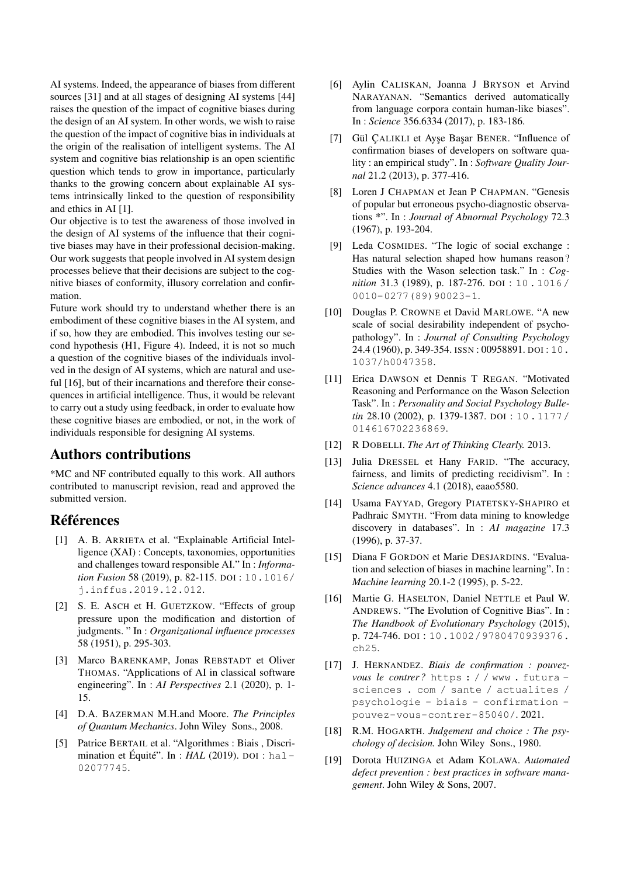AI systems. Indeed, the appearance of biases from different sources [31] and at all stages of designing AI systems [44] raises the question of the impact of cognitive biases during the design of an AI system. In other words, we wish to raise the question of the impact of cognitive bias in individuals at the origin of the realisation of intelligent systems. The AI system and cognitive bias relationship is an open scientific question which tends to grow in importance, particularly thanks to the growing concern about explainable AI systems intrinsically linked to the question of responsibility and ethics in AI [1].

Our objective is to test the awareness of those involved in the design of AI systems of the influence that their cognitive biases may have in their professional decision-making. Our work suggests that people involved in AI system design processes believe that their decisions are subject to the cognitive biases of conformity, illusory correlation and confirmation.

Future work should try to understand whether there is an embodiment of these cognitive biases in the AI system, and if so, how they are embodied. This involves testing our second hypothesis (H1, Figure 4). Indeed, it is not so much a question of the cognitive biases of the individuals involved in the design of AI systems, which are natural and useful [16], but of their incarnations and therefore their consequences in artificial intelligence. Thus, it would be relevant to carry out a study using feedback, in order to evaluate how these cognitive biases are embodied, or not, in the work of individuals responsible for designing AI systems.

# Authors contributions

\*MC and NF contributed equally to this work. All authors contributed to manuscript revision, read and approved the submitted version.

# Références

- [1] A. B. ARRIETA et al. "Explainable Artificial Intelligence (XAI) : Concepts, taxonomies, opportunities and challenges toward responsible AI." In : *Information Fusion* 58 (2019), p. 82-115. DOI : 10.1016/ j.inffus.2019.12.012.
- [2] S. E. ASCH et H. GUETZKOW. "Effects of group pressure upon the modification and distortion of judgments. " In : *Organizational influence processes* 58 (1951), p. 295-303.
- [3] Marco BARENKAMP, Jonas REBSTADT et Oliver THOMAS. "Applications of AI in classical software engineering". In : *AI Perspectives* 2.1 (2020), p. 1- 15.
- [4] D.A. BAZERMAN M.H.and Moore. *The Principles of Quantum Mechanics*. John Wiley Sons., 2008.
- [5] Patrice BERTAIL et al. "Algorithmes : Biais , Discrimination et Équité". In : *HAL* (2019). DOI : hal-02077745.
- [6] Aylin CALISKAN, Joanna J BRYSON et Arvind NARAYANAN. "Semantics derived automatically from language corpora contain human-like biases". In : *Science* 356.6334 (2017), p. 183-186.
- [7] Gül ÇALIKLI et Ayşe Başar BENER. "Influence of confirmation biases of developers on software quality : an empirical study". In : *Software Quality Journal* 21.2 (2013), p. 377-416.
- [8] Loren J CHAPMAN et Jean P CHAPMAN. "Genesis of popular but erroneous psycho-diagnostic observations \*". In : *Journal of Abnormal Psychology* 72.3 (1967), p. 193-204.
- [9] Leda COSMIDES. "The logic of social exchange : Has natural selection shaped how humans reason ? Studies with the Wason selection task." In : *Cognition* 31.3 (1989), p. 187-276. DOI : 10 . 1016 / 0010-0277(89)90023-1.
- [10] Douglas P. CROWNE et David MARLOWE. "A new scale of social desirability independent of psychopathology". In : *Journal of Consulting Psychology* 24.4 (1960), p. 349-354. ISSN : 00958891. DOI : 10. 1037/h0047358.
- [11] Erica DAWSON et Dennis T REGAN. "Motivated Reasoning and Performance on the Wason Selection Task". In : *Personality and Social Psychology Bulletin* 28.10 (2002), p. 1379-1387. DOI : 10.1177/ 014616702236869.
- [12] R DOBELLI. *The Art of Thinking Clearly.* 2013.
- [13] Julia DRESSEL et Hany FARID. "The accuracy, fairness, and limits of predicting recidivism". In : *Science advances* 4.1 (2018), eaao5580.
- [14] Usama FAYYAD, Gregory PIATETSKY-SHAPIRO et Padhraic SMYTH. "From data mining to knowledge discovery in databases". In : *AI magazine* 17.3 (1996), p. 37-37.
- [15] Diana F GORDON et Marie DESJARDINS. "Evaluation and selection of biases in machine learning". In : *Machine learning* 20.1-2 (1995), p. 5-22.
- [16] Martie G. HASELTON, Daniel NETTLE et Paul W. ANDREWS. "The Evolution of Cognitive Bias". In : *The Handbook of Evolutionary Psychology* (2015), p. 724-746. DOI : 10.1002/9780470939376. ch25.
- [17] J. HERNANDEZ. *Biais de confirmation : pouvezvous le contrer ?* https : / / www . futura sciences . com / sante / actualites / psychologie - biais - confirmation pouvez-vous-contrer-85040/. 2021.
- [18] R.M. HOGARTH. *Judgement and choice : The psychology of decision.* John Wiley Sons., 1980.
- [19] Dorota HUIZINGA et Adam KOLAWA. *Automated defect prevention : best practices in software management*. John Wiley & Sons, 2007.